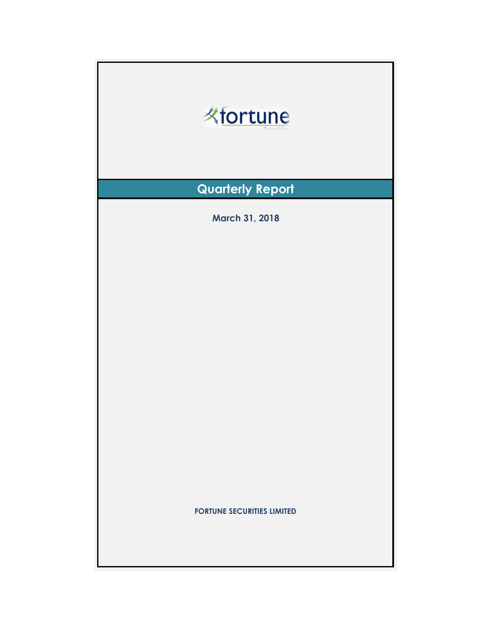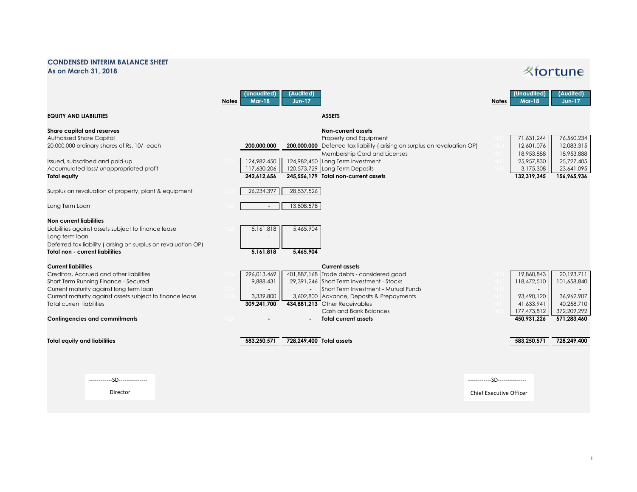## **CONDENSED INTERIM BALANCE SHEET As on March 31, 2018**

## **Kfortune**

|                                                                                                                                                                                                                                                                                                   | (Unaudited)<br>(Audited)<br><b>Mar-18</b><br><b>Notes</b><br>$Jun-17$                                                                                                                                                                                                                                                                                  | (Unaudited)<br>(Audited)<br><b>Mar-18</b><br>$Jun-17$<br><b>Notes</b>                                                                                                      |
|---------------------------------------------------------------------------------------------------------------------------------------------------------------------------------------------------------------------------------------------------------------------------------------------------|--------------------------------------------------------------------------------------------------------------------------------------------------------------------------------------------------------------------------------------------------------------------------------------------------------------------------------------------------------|----------------------------------------------------------------------------------------------------------------------------------------------------------------------------|
| <b>EQUITY AND LIABILITIES</b>                                                                                                                                                                                                                                                                     | <b>ASSETS</b>                                                                                                                                                                                                                                                                                                                                          |                                                                                                                                                                            |
| Share capital and reserves<br>Authorized Share Capital<br>20,000,000 ordinary shares of Rs. 10/- each<br>Issued, subscribed and paid-up<br>Accumulated loss/ unappropriated profit<br><b>Total equity</b>                                                                                         | <b>Non-current assets</b><br>Property and Equipment<br>200,000,000 Deferred tax liability (arising on surplus on revaluation OP)<br>200,000,000<br>Membership Card and Licenses<br>124,982,450<br>124,982,450 Long Term Investment<br>117,630,206<br>120,573,729 Long Term Deposits<br>245,556,179 Total non-current assets<br>242,612,656             | 71,631,244<br>76,560,234<br>12,601,076<br>12,083,315<br>18,953,888<br>18,953,888<br>25,727,405<br>25,957,830<br>3,175,308<br>23,641,095<br>132,319,345<br>156,965,936      |
| Surplus on revaluation of property, plant & equipment                                                                                                                                                                                                                                             | 28,537,526<br>26,234,397                                                                                                                                                                                                                                                                                                                               |                                                                                                                                                                            |
| Long Term Loan                                                                                                                                                                                                                                                                                    | 13,808,578<br>$\overline{\phantom{a}}$                                                                                                                                                                                                                                                                                                                 |                                                                                                                                                                            |
| <b>Non current liabilities</b><br>Liabilities against assets subject to finance lease<br>Long term loan<br>Deferred tax liability (arising on surplus on revaluation OP)<br><b>Total non - current liabilities</b>                                                                                | 5,465,904<br>5,161,818<br>5.161.818<br>5.465.904                                                                                                                                                                                                                                                                                                       |                                                                                                                                                                            |
| <b>Current liabilities</b><br>Creditors, Accrued and other liabilities<br>Short Term Running Finance - Secured<br>Current maturity against long term loan<br>Current maturity against assets subject to finance lease<br><b>Total current liabilities</b><br><b>Contingencies and commitments</b> | <b>Current assets</b><br>296,013,469<br>401,887,168 Trade debts - considered good<br>9,888,431<br>29.391.246 Short Term Investment - Stocks<br>Short Term Investment - Mutual Funds<br>3,339,800<br>3,602,800 Advance, Deposits & Prepayments<br>434,881,213 Other Receivables<br>309.241.700<br>Cash and Bank Balances<br><b>Total current assets</b> | 20,193,711<br>19,860,843<br>118,472,510<br>101.658.840<br>36.962.907<br>93,490,120<br>41,633,941<br>40.258.710<br>372,209,292<br>177,473,812<br>450,931,226<br>571,283,460 |
| <b>Total equity and liabilities</b>                                                                                                                                                                                                                                                               | 583.250.571<br>728,249,400 Total assets                                                                                                                                                                                                                                                                                                                | 583,250,571<br>728,249,400                                                                                                                                                 |
| ------------SD---------------<br>Director                                                                                                                                                                                                                                                         |                                                                                                                                                                                                                                                                                                                                                        | ------------SD---------------<br><b>Chief Executive Officer</b>                                                                                                            |